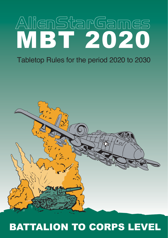# AlienStarGames MBT 2020

### Tabletop Rules for the period 2020 to 2030



## BATTALION TO CORPS LEVEL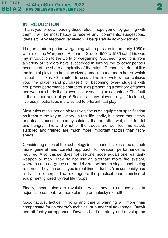#### **INTRODUCTION.**

Thank you for downloading these rules. I hope you enjoy gaming with them. I will be most happy to receive any comments, suggestions, ideas etc. Any feedback received will be gratefully acknowledged.

I began modern period wargaming with a passion in the early 1980's with rules the Wargames Research Group 1950 to 1985 set. This was my introduction to the world of wargaming. Succeeding editions from a variety of vendors have succeeded in turning me to other periods because of the sheer complexity of the rules. Personally I do not like the idea of playing a battalion sized game in four or more hours which in real life takes 30 minutes to occur. The rule writers then criticise you, the player (and purchaser) for becoming over-indulgent with equipment performance characteristics presenting a plethora of tables and weapon charts that players scour seeking an advantage. The fault is the author and **not you**! Besides, many players, myself included, live busy hectic lives more suited to efficient fast play.

Most rules of this period obsessively focus on equipment specification as if that is the key to victory. In real-life, sadly, it is seen that victory or defeat is accomplished by soldiers, that are often wet, cold, fearful and hungry. This and whether the troops are well led, motivated, supplied and trained are much more important factors than techspecs.

Considering much of the technology in this period is classified a much more general and careful approach to weapon performance is required. Also, this set does not use one model equals one real tank/ weapon or man. They do not use an alternate move fire system, where a coup-de-grace can be delivered without a single 'shot' being returned. They can be played in real time or faster. You can easily use a division or corps. The rules ignore the practical characteristics of equipment ignored by real life troops.

Finally, these rules are revolutionary as they do not use dice to adjudicate combat. No more blaming an unlucky die roll!

Good tactics, tactical thinking and careful planning will more than compensate for an enemy's technical or numerical advantage. Outwit and off-foot your opponent. Develop battle strategy and develop the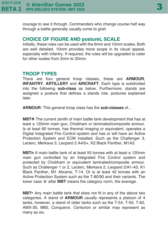courage to see it through. Commanders who change course half way through a battle generally usually come to grief.

#### **CHOICE OF FIGURE AND postureL SCALE**

Initially, these rules can be used with the 6mm and 10mm scales. Both are well detailed. 10mm provides more scope in its visual appeal, especially with infantry. If required, the rules will be upgraded to cater for other scales from 2mm to 20mm.

#### **TROOP TYPES**

There are four general troop classes, these are **ARMOUR**, **INFANTRY**, **ARTILLERY** and **AIRCRAFT**. Each type is subdivided into the following **sub-class** as below. Furthermore, stands are assigned a posture that defines a stands role. postures explained later.

**ARMOUR**: This general troop class has the **sub-classes** of...

**MBT+** The current zenith of main battle tank development that has at least a 120mm main gun, Chobham or laminated/composite armour. Is at least 60 tonnes, has thermal imaging or equivalent, operates a Digital Integrated Fire Control system and has or will have an Active Protection System and ECM installed. Such as the Challenger 3, Leclerc, Merkava 3, Leopard 2 A4/5+, K2 Black Panther, M1A3.

**MBTn** A main battle tank of at least 55 tonnes with at least a 120mm main gun controlled by an Integrated Fire Control system and protected by Chobham or equivalent laminated/composite armour. Such as Challenger 1 or 2, Leclerc, Merkava 2, Leopard 2/A1-A3, K1 Black Panther, M1 Abrams, T-14. Or is at least 42 tonnes with an Active Protection System such as the T-80/90 and their variants. The lower case '**n**' after **MBT** means the category norm, the average.

**MBT-** Any main battle tank that does not fit in any of the above two categories. A stand of **ARMOUR** usually represents a platoon of 4 tanks, however, a stand of older tanks such as the T-54, T-55, T-62, AMX-30, M60, Conqueror, Centurion or similar may represent as many as six.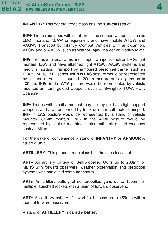

**INFANTRY:** This general troop class has the **sub-classes** of...

**INF+** Troops equipped with small arms and support weapons such as LMG, mortars, NLAW or equivalent and have mobile ATGW and AAGW. Transport by Infantry Combat Vehicles with auto-cannon, ATGW and/or AAGW, such as Warrior, Ajax, Marder or Bradley M2/3.

**INFn** Troops with small arms and support weapons such as LMG, light mortars, LAW and have attached light ATGW, AAGW systems and medium mortars. Transport by armoured personnel carrier such as FV432, M113, BTR series. **INFn** in **LAS** posture would be represented by a stand of vehicle mounted 120mm mortars or field guns up to 105mm. **INFn** in the **ATM** posture would be represented by vehicle mounted anti-tank guided weapons such as Swingfire, TOW, HOT, Spandrel.

**INF-** Troops with small arms that may or may not have light support weapons and are transported by truck or other soft motor transport. **INF-** in **LAS** posture would be represented by a stand of vehicle mounted 81mm mortars. **INF-** in the **ATM** posture would be represented by vehicle mounted lighter anti-tank guided weapons such as Milan.

For the sake of convenience a stand of **INFANTRY** or **ARMOUR** is called a **unit**.

**ARTILLERY:** This general troop class has the sub-classes of...

**ART+** An artillery battery of Self-propelled Guns up to 203mm or MLRS with forward observers, weather observation and prediction systems with battlefield computer control.

**ARTn** An artillery battery of self-propelled guns up to 155mm or multiple launched rockets with a team of forward observers.

**ART-** An artillery battery of towed field pieces up to 155mm with a team of forward observers.

A stand of **ARTILLERY** is called a **battery**.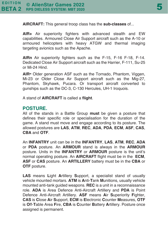**AIRCRAFT:** This general troop class has the **sub-classes** of...

**AIR+** Air superiority fighters with advanced stealth and EW capabilities. Armoured Close Air Support aircraft such as the A-10 or armoured helicopters with heavy ATGW and thermal imaging targeting avionics such as the Apache.

**AIRn** Air superiority fighters such as the F-15, F-16 F-18, F-14. Dedicated Close Air Support aircraft such as the Harrier, F-111, Su-25 or Mi-24 Hind.

**AIR-** Older generation ASF such as the Tornado, Phantom, Viggen, Mi-23 or Older Close Air Support aircraft such as the Mig-27, Phantom, Skyhawk, Pucara. Or transport aircraft converted to gunships such as the DC-3, C-130 Hercules, UH-1 Iroquois.

A stand of **AIRCRAFT** is called a **flight**.

#### **POSTURE.**

All of the stands in a Battle Group **must** be given a posture that defines their specific role or specialisation for the duration of the game. A stand must move and engage according to its posture. The allowed postures are **LAS**, **ATM**, **REC**, **ADA**, **PDA**, **ECM**, **ASF**, **CAS**, **CBA** and **OTF**.

An **INFANTRY** unit can be in the **INFANTRY**, **LAS**, **ATM**, **REC**, **ADA** or **PDA** posture. An **ARMOUR** stand is always in the **ARMOUR** posture. Units in the **INFANTRY** or **ARMOUR** posture is the unit's normal operating posture. An **AIRCRAFT** flight must be in the **ECM**, **ASF** or **CAS** posture. An **ARTILLERY** battery must be in the **CBA** or **OTF** posture.

**LAS** means **L**ight **A**rtillery **S**upport, a specialist stand of usually vehicle mounted mortars. **ATM** is **A**nti-**T**ank **M**unitions, usually vehicle mounted anti-tank guided weapons. **REC** is a unit in a reconnaissance role. **ADA** is Area Defence Anti-Aircraft Artillery and **PDA** is Point Defence Anti-Aircraft Artillery. **ASF** means **A**ir **S**uperiority **F**ighter, **CAS** is **C**lose **A**ir **S**upport, **ECM** is **E**lectronic **C**ounter **M**easures, **OTF** is **O**ff-**T**able Area **F**ire, **CBA** is **C**ounter **B**attery **A**rtillery. Posture once assigned is permanent.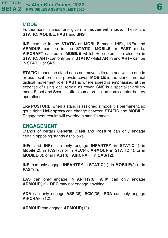#### **MODE**

Furthermore, stands are given a **movement mode**. These are **STATIC**, **MOBILE**, **FAST** and **SNS**.

**INF-** can be in the **STATIC** or **MOBILE** mode. **INF+**, **INFn** and **ARMOUR** can be in the **STATIC**, **MOBILE** or **FAST** mode. **AIRCRAFT** can be in **MOBILE** whilst Helicopters can also be in **STATIC**. **ART-** can only be in **STATIC** whilst **ARTn** and **ART+** can be in **STATIC** or **SNS**.

**STATIC** means the stand does not move in its role and will be dug-in or use local terrain to provide cover. **MOBILE** is the stand's normal tactical movement role. **FAST** is where speed is emphasised at the expense of using local terrain as cover. **SNS** is a specialist artillery mode **S**hoot a**n**d **S**coot, it offers some protection from counter-battery operations.

Like **POSTURE**, when a stand is assigned a mode it is permanent, so get it right! **Helicopters** can change between **STATIC** and **MOBILE**. Engagement results will override a stand's mode.

#### **ENGAGEMENT**

Stands of certain **General Class** and **Posture** can only engage certain opposing stands as follows…

**INFn** and **INF+** can only engage **INFANTRY** in **STATIC**(1) in **Mobile**(2), in **FAST**(3) or in **REC**(4). **ARMOUR** in **STATIC**(4), or in **MOBILE**(8), or in **FAST**(8). **AIRCRAFT** in **CAS**(12).

**INF-** can only engage **INFANTRY** in **STATIC**(1), in **MOBILE**(2) or in **FAST**(2).

**LAS** can only engage **INFANTRY**(8). **ATM** can only engage **ARMOUR**(12). **REC** may not engage anything.

**ADA** can only engage **ASF**(36), **ECM**(36). **PDA** can only engage **AIRCRAFT**(12).

**ARMOUR** can engage **ARMOUR**(12).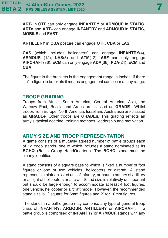**ART-** in **OTF** can only engage **INFANTRY** or **ARMOUR** in **STATIC**. **ARTn** and **ART+** can engage **INFANTRY** and **ARMOUR** in **STATIC**, **MOBILE** and **FAST**.

**ARTILLERY** in **CBA** posture can engage **OTF, CBA** or **LAS.**

**CAS** (which includes helicopters) can engage **INFANTRY**(4), **ARMOUR** (12), **LAS**(8) and **ATM**(12). **ASF** can only engage **AIRCRAFT**(36). **ECM** can only engage **ADA**(36), **PDA**(24), **ECM** and **CBA**.

The figure in the brackets is the engagement range in inches. If there isn't a figure in brackets it means engagement can occur at any range.

#### **TROOP GRADING**

Troops from Africa, South America, Central America, Asia, the Warsaw Pact, Russia and Arabs are classed as **GRADE-**. Whilst troops from Europe, North America, Israel and Australasia are classed as **GRADE+**. Other troops are **GRADEn**. This grading reflects an army's tactical doctrine, training methods, leadership and motivation.

#### **ARMY SIZE AND TROOP REPRESENTATION**

A game consists of a mutually agreed number of battle groups each of 12 troop stands, one of which includes a stand nominated as its **BGHQ** (**B**attle **G**roup **H**ead**Q**uarters). The **BGHQ** stand must be clearly identified.

A stand consists of a square base to which is fixed a number of foot figures or one or two vehicles, helicopters or aircraft. A stand represents a platoon sized unit of infantry, armour, a battery of artillery or a flight of helicopters or aircraft. Stand size is relatively unimportant but should be large enough to accommodate at least 4 foot figures, one vehicle, helicopter or aircraft model. However, the recommended stand size is 1" square for 6mm figures and 2" for 10mm figures.

The stands in a battle group may comprise any type of general troop class of **INFANTRY**, **ARMOUR**, **ARTILLERY** or **AIRCRAFT**. If a battle group is comprised of **INFANTRY** or **ARMOUR** stands with any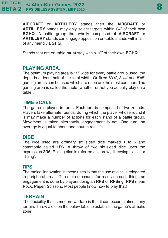**AIRCRAFT** or **ARTILLERY** stands then the **AIRCRAFT** or **ARTILLERY** stands may only select targets within 24" of their own **BGHQ**. A battle group that wholly comprised of **AIRCRAFT** or **ARTILLERY** stands can engage opposition on-table stands within 24" of any friendly **BGHQ**.

Stands that are on-table **must** stay within 12" of their own **BGHQ**.

#### **PLAYING AREA.**

The optimum playing area is 12" wide for every battle group used, the depth is at least half of the total width. Or fixed 6'x4', 8'x4' and 8'x5' gaming areas can be used which are often are the most common. The gaming area is called the table (whether or not you actually play on a table).

#### **TIME SCALE**

The game is played in turns. Each turn is comprised of two rounds. Players take alternate rounds, during which the player whose round it is may make a number of actions for each stand of a battle group. Movement is taken alternately, engagement is not. One turn, on average is equal to about one hour in real life.

#### **DICE**

The dice used are ordinary six sided dice marked 1 to 6 and commonly called **1D6**. A throw of two six-sided dice uses the expression **2D6**. Rolling dice is referred as 'throw', 'throwing', 'dice' or 'dicing'.

#### **RPS**

The radical innovation in these rules is that the use of dice is relegated to peripheral areas. The main mechanic for resolving such things as engagement is done by players doing an **RPS** or **RPS**ing. **RPS** mean **R**ock, **P**aper, **S**cissors. Most people know how to play that!

#### **TERRAIN**

The flexibility that is modern warfare is that it can occur in almost any terrain. Throw a die on the below table to establish the game's climatic zone.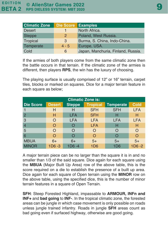| <b>Climatic Zone</b> | Die Score Examples |                                    |
|----------------------|--------------------|------------------------------------|
| <b>Desert</b>        |                    | North Africa.                      |
| <b>Steppe</b>        | 2                  | Poland, West Russia.               |
| Tropical             | 3                  | Burma, S. China, Indo-China.       |
| Temperate            | $4 - 5$            | Europe, USA.                       |
| Cold                 | 6                  | Japan, Manchuria, Finland, Russia. |

If the armies of both players come from the same climatic zone then the battle occurs in that terrain. If the climatic zone of the armies is different, then players **RPS**, the win has the luxury of choosing.

The playing surface is usually comprised of 12" or 16" terrain, carpet tiles, blocks or marked on squares. Dice for a major terrain feature in each square as below;

| <b>Climatic Zone is:</b> |               |               |                 |                  |             |  |  |
|--------------------------|---------------|---------------|-----------------|------------------|-------------|--|--|
| <b>Die Score</b>         | <b>Desert</b> | <b>Steppe</b> | <b>Tropical</b> | <b>Temperate</b> | <b>Cold</b> |  |  |
|                          | н             | н             | <b>SFH</b>      | <b>SFH</b>       | <b>LFA</b>  |  |  |
| $\overline{2}$           | н             | <b>LFA</b>    | <b>SFH</b>      | н                | н           |  |  |
| 3                        | O             | <b>LFA</b>    | <b>LFA</b>      | <b>LFA</b>       | <b>LFA</b>  |  |  |
| $\overline{4}$           | O             |               | <b>LFA</b>      | н                | Н           |  |  |
| 5                        | O             | $\bigcap$     | O               |                  | O           |  |  |
| 6                        |               |               | O               |                  | O           |  |  |
| <b>MBUA</b>              | $6+$          | $6+$          | $5+$            | $5+$             | $5+$        |  |  |
| <b>MINOR</b>             | $1D6 - 3$     | 1D6 -4        | 1D6             | 1D6              | $1D6 - 2$   |  |  |

A major terrain piece can be no larger than the square it is in and no smaller than 1/3 of the said square. Dice again for each square using the **MBUA** (Major Built Up Area) row of the above table, this is the score required on a die to establish the presence of a built up area. Dice again for each square of Open terrain using the **MINOR** row on the above table, using the specified dice, this is the number of minor terrain features in a square of Open Terrain.

**SFH**: Steep Forested Highland, impassable to **ARMOUR, INFn and INF+** and **bad going** to **INF-**. In the tropical climatic zone, the forested areas can be jungle in which case movement is only possible on roads unless jungle trained infantry. Roads in jungle **SFH** areas count as bad going even if surfaced highway, otherwise are good going.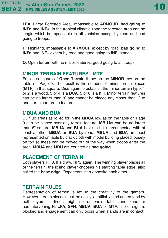**LFA**: Large Forested Area, impassable to **ARMOUR**, **bad going** to **INFn** and **INF+**. In the tropical climatic zone the forested area can be jungle which is impassable to all vehicles except by road and bad going to troops.

**H**: Highland, impassable to **ARMOUR** except by road, **bad going** to **INFn** and **INF+** except by road and good going to **INF-** stands.

**O**: Open terrain with no major features, good going to all troops.

#### **MINOR TERRAIN FEATURES - MTF.**

For each square of **Open Terrain** throw on the **MINOR** row on the table on Page 9. The result is the number of minor terrain pieces (**MTF**) in that square. Dice again to establish the minor terrain type. 1 or 2 is a wood, 3 or 4 is a **BUA**. 5 or 6 is a **hill**. Minor terrain features can be no larger than 8" and cannot be placed any closer than 1" to another minor terrain feature.

#### **MBUA AND BUA**

Built up areas as rolled for in the **MBUA** row as on the table on Page 9 can be placed over any terrain feature. **MBUAs** can be no larger than 8" square. **MBUA** and **BUA** have to be interconnected with at least another **MBUA** or **BUA** by road. **MBUA** and **BUA** are best represented on table by black cloth with model building placed loosely on top so these can be moved out of the way when troops enter the area. **MBUA** and **MBU** are counted as **bad going**.

#### **PLACEMENT OF TERRAIN**

Both players RPS. If a draw, RPS again. The winning player places all of the terrain, the losing player chooses his starting table edge, also called the **base edge**. Opponents start opposite each other.

#### **TERRAIN RULES**

Representation of terrain is left to the creativity of the gamers. However, terrain pieces must be easily identifiable and understood by both players. If a direct straight line from one on-table stand to another has intervening **H**, **LFA**, **SFH**, **MBUA**, **BUA** or **MTF**, line of sight is blocked and engagement can only occur when stands are in contact.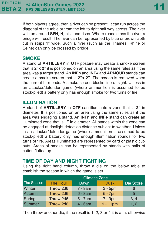If both players agree, then a river can be present. It can run across the diagonal of the table or from the left to right half way across. The river will run around **SFH**, **H**, hills and rises. Where roads cross the river a bridge will result. The river can be represented by blue or brown cloth cut in strips 1" wide. Such a river (such as the Thames, Rhine or Seine) can only be crossed by bridge.

#### **SMOKE**

A stand of **ARTILLERY** in **OTF** posture may create a smoke screen that is **2"x 2"** it is positioned on an area using the same rules as if the area was a target stand. An **INFn** and **INF+** and **ARMOUR** stands can create a smoke screen that is **2"x 2"**. The screen is removed when the current turn ends. A smoke screen blocks line of sight. Unless in an attacker/defender game (where ammunition is assumed to be stock-piled) a battery only has enough smoke for two turns of fire.

#### **ILLUMINATION**

A stand of **ARTILLERY** in **OTF** can illuminate a zone that is **2"** in diameter. It is positioned on an area using the same rules as if the area was engaging a stand. An **INFn** and I**NF+** stand can create an illuminated zone that is **1"** in diameter. All stands within the zone can be engaged at daylight detection distance subject to weather. Unless in an attacker/defender game (where ammunition is assumed to be stock-piled) a battery only has enough illumination rounds for two turns of fire. Areas illuminated are represented by card or plastic cutouts. Areas of smoke can be represented by stands with balls of cotton fluffed up.

#### **TIME OF DAY AND NIGHT FIGHTING**

Using the right hand column, throw a die on the below table to establish the season in which the game is set.

|            | <b>Climatic Zone</b> |            |             |           |  |  |
|------------|----------------------|------------|-------------|-----------|--|--|
| The Season | The Hour             | Dawn       | <b>Dusk</b> | Die Score |  |  |
| Winter     | Throw 2d6            | 7 - 9am    | $3 - 5$ pm  | 6         |  |  |
| Autumn     | Throw 2d6            | $6 - 8am$  | $5 - 7$ pm  | 5         |  |  |
| Spring     | Throw 2d6            | $5 - 7$ am | $7 - 9$ pm  | 3, 4      |  |  |
| Summer     | Throw 2d6            | $4 - 6am$  | $9 - 11$ pm | 1, 2      |  |  |

Then throw another die, if the result is 1, 2, 3 or 4 it is a.m. otherwise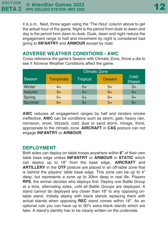it is p.m.. Next, throw again using the 'The Hour' column above to get the actual hour of the game. Night is the period from dusk to dawn and day is the period from dawn to dusk. Dusk, dawn and night reduce the engagement range to half and movement by night is considered bad going to **INFANTRY** and **ARMOUR** except by road.

#### **ADVERSE WEATHER CONDITIONS - AWC**

Cross reference the game's Season with Climatic Zone, throw a die to see if Adverse Weather Conditions affect the game.

|               | <b>Climatic Zone</b> |                 |                |                        |  |  |
|---------------|----------------------|-----------------|----------------|------------------------|--|--|
| Season        | <b>Temperate</b>     | <b>Tropical</b> | <b>Dessert</b> | Cold/<br><b>Steppe</b> |  |  |
| Winter        | $4+$                 | 5+              | $5+$           | $3+$                   |  |  |
| Autumn        | $5+$                 | $5+$            | $6+$           | 4+                     |  |  |
| Spring        | $5+$                 | $5+$            | $6+$           | $5+$                   |  |  |
| <b>Summer</b> | 6+                   | 4+              | $5+$           | 6+                     |  |  |

**AWC** reduces all engagement ranges by half and renders smoke ineffective. **AWC** can be conditions such as storm, gale, heavy rain, monsoon, snow, blizzard, cold, dust or sand storm, mirage, thirst, appropriate to the climatic zone. **AIRCRAFT** in **CAS** posture can not engage **INFANTRY** or **ARMOUR**.

#### **DEPLOYMENT**

Both sides can deploy on-table troops anywhere within **8"** of their own table base edge unless **INFANTRY** or **ARMOUR** in **STATIC** which can deploy up to 18" from the base edge.. **AIRCRAFT** and **ARTILLERY** in the **OTF** posture are placed in an off-table zone that is behind the players' table base edge. This zone can be up to 4" deep, but represents a zone up to 30km deep in real life. Players **RPS**, the winner decides who deploys first. Deploy one Battle Group at a time, alternating sides, until all Battle Groups are deployed. A stand cannot be deployed any closer than 18" to any opposing ontable stand. Initially deploy with blank stands replacing them with actual stands when opposing **REC** stand comes within 16". As an optional rule you can have up to 30% extra blank stands which are fake. A stand's identity has to be clearly written on the underside.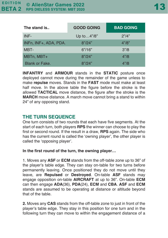| The stand is          | <b>GOOD GOING</b> | <b>BAD GOING</b>  |  |  |
|-----------------------|-------------------|-------------------|--|--|
| INF-                  | Up to4"/8"        | 2"14"             |  |  |
| INFn, INF+, ADA, PDA. | 8" / 24"          | 4" / 8"           |  |  |
| MBT-                  | 6''/16''          | 3''/8             |  |  |
| MBTn, MBT+            | 8" / 24"          | 4"/8              |  |  |
| Blank or Fake.        | 8"124"            | 4 <sup>n</sup> /8 |  |  |

**INFANTRY** and **ARMOUR** stands in the **STATIC** posture once deployed cannot move during the remainder of the game unless to make **repulse** moves. Stands in the **FAST** mode must make at least half move. In the above table the figure before the stroke is the allowed **TACTICAL** move distance, the figure after the stroke is the **MARCH** move distance. A march move cannot bring a stand to within 24" of any opposing stand.

#### **THE TURN SEQUENCE**

One turn consists of two rounds that each have five segments. At the start of each turn, both players **RPS** the winner can choose to play the first or second round. If the result in a draw, **RPS** again. The side who has the current round is called the 'owning player', the other player is called the 'opposing player'.

#### **In the first round of the turn, the owning player…**

1. Moves any **ASF** or **ECM** stands from the off-table zone up to 36" of the player's table edge. They can stay on-table for two turns before permanently leaving. Once positioned they do not move until they leave, are **Repulsed** or **Destroyed**. On-table **ASF** stands may engage opposition on-table **AIRCRAFT** at up to 36". On-table **ECM** can then engage **ADA**(36), **PDA**(24), **ECM** and **CBA**. **ASF** and **ECM** stands are assumed to be operating at distance or altitude beyond that of the table.

**2.** Moves any **CAS** stands from the off-table zone to just in front of the player's table edge. They stay in this position for one turn and in the following turn they can move to within the engagement distance of a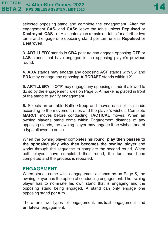selected opposing stand and complete the engagement. After the engagement **CAS-** and **CASn** leave the table unless **Repulsed** or **Destroyed**. **CAS+** or Helicopters can remain on-table for a further two turns and engage one opposing stand per turn unless **Repulsed** or **Destroyed**.

**3. ARTILLERY** stands in **CBA** posture can engage opposing **OTF** or **LAS** stands that have engaged in the opposing player's previous round.

**4. ADA** stands may engage any opposing **ASF** stands with 36" and **PDA** may engage any opposing **AIRCRAFT** stands within 12".

**5. ARTILLERY** in **OTF** may engage any opposing stands if allowed to do so by the engagement rules on Page 5. A marker is placed in front of the stand to signify engagement.

**6.** Selects an on-table Battle Group and moves each of its stands according to the movement rules and the player's wishes. Complete **MARCH** moves before conducting **TACTICAL** moves. When an owning player's stand come within Engagement distance of any opposing stands, the owning player may engage if he wishes and of a type allowed to do so.

When the owning player completes his round, **play then passes to the opposing play who then becomes the owning player** and works through the sequence to complete the second round. When both players have completed their round, the turn has been completed and the process is repeated.

#### **ENGAGEMENT**

When stands come within engagement distance as on Page 5, the owning player has the option of conducting engagement. The owning player has to nominate his own stand that is engaging and the opposing stand being engaged. A stand can only engage one opposing stand per turn.

There are two types of engagement, **mutual** engagement and **unilateral** engagement.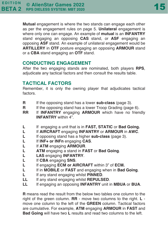**Mutual** engagement is where the two stands can engage each other as per the engagement rules on page 5. **Unilateral** engagement is where only one can engage. An example of **mutual** is an **INFANTRY** stand engaging an opposing **CAS** stand, or **ASF** engaging an opposing **ASF** stand. An example of unilateral engagement would be **ARTILLERY** in **OTF** posture engaging an opposing **ARMOUR** stand or a **CBA** stand engaging an **OTF** stand.

#### **CONDUCTING ENGAGEMENT**

After the two engaging stands are nominated, both players **RPS**, adjudicate any tactical factors and then consult the results table.

#### **TACTICAL FACTORS**

Remember, it is only the owning player that adjudicates tactical factors.

- **R** If the opposing stand has a lower **sub-class** (page 3).
- **R** If the opposing stand has a lower Troop Grading (page 6).
- **RR** If **INFANTRY** engaging **ARMOUR** which have no friendly **INFANTRY** within 4".
- **L** If engaging a unit that is in **FAST, STATIC** or **Bad Going.**
- **L** If **AIRCRAFT** engaging **INFANTRY** or **ARMOUR** in **AWC**.
- **L** If opposing stand has a higher **sub-class** (page 3).
- **L** If **INF+ or INFn** engaging **CAS**.
- **L** If **ATM** engaging **ARMOUR**.
- **L ATM** engaging a stand in **FAST** or **Bad Going**.
- **L LAS** engaging **INFANTRY**.
- **L** If **CBA** engaging **SNS**.
- **L** If engaging **ECM or AIRCRAFT** within 3" of **ECM.**
- **L** If in **MOBILE** or **FAST** and engaging when in **Bad Going**.
- **L** If any stand engaging whilst **PINNED**.
- **LL** If any stand engaging whilst **REPULSED**.
- **LL** If engaging an opposing **INFANTRY** unit in **MBUA** or **BUA**.

**R** means read the result from the below two tables one column to the right of the green column. **RR** - move two columns to the right. **L** move one column to the left of the **GREEN** column. Tactical factors are cumulative. For example, **ATM** engaging **ARMOUR** in **FAST** and **Bad Going** will have two **L** results and read two columns to the left.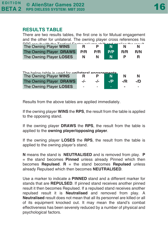#### **RESULTS TABLE**

| There are two results tables, the first one is for Mutual engagement        |     |     |     |     |     |
|-----------------------------------------------------------------------------|-----|-----|-----|-----|-----|
| and the other for unilateral. The owning player cross references his        |     |     |     |     |     |
| DDO waa ultuulika dha Taatiaal Faatay aaluwaa abiiftand amaliaa tha waa ult |     |     |     |     |     |
| The Owning Player WINS                                                      |     |     |     |     |     |
| The Owning Player DRAWS                                                     | P/R | P/R | P/P | R/R | R/N |
| The Owning Player LOSES                                                     | N   | N.  | N   |     | R   |
|                                                                             |     |     |     |     |     |

| The helow table is used for unilateral ennanaments |       |        |       |        |        |  |
|----------------------------------------------------|-------|--------|-------|--------|--------|--|
| The Owning Player WINS                             |       |        |       |        | N      |  |
| The Owning Player DRAWS                            | $-/-$ | $-I$   | $-IP$ | $-$ /R | $-$ /D |  |
| The Owning Player LOSES                            | ۰     | $\sim$ | -     |        |        |  |

Results from the above tables are applied immediately.

If the owning player **WINS** the **RPS**, the result from the table is applied to the opposing stand.

If the owning player **DRAWS** the **RPS**, the result from the table is applied to the **owning player/opposing player**.

If the owning player **LOSES** the **RPS**, the result from the table is applied to the owning player's stand.

**N** means the stand is **NEUTRALISED** and is removed from play. **P** = the stand becomes **Pinned** unless already Pinned which then becomes **Repulsed**. **R** = the stand becomes **Repulsed** unless already Repulsed which then becomes **NEUTRALISED**.

Use a marker to indicate a **PINNED** stand and a different marker for stands that are **REPULSED**. If pinned stand receives another pinned result it then becomes Repulsed. If a repulsed stand receives another repulsed result it is **Neutralised** and removed from play. A **Neutralised** result does not mean that all its personnel are killed or all of its equipment knocked out. It may mean the stand's combat effectiveness has been severely reduced by a number of physical and psychological factors.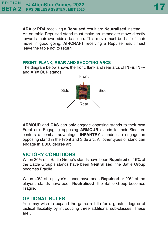**ADA** or **PDA** receiving a **Repulsed** result are **Neutralised** instead.

An on-table Repulsed stand must make an immediate move directly towards their own side's baseline. This move must be half of their move in good going. **AIRCRAFT** receiving a Repulse result must leave the table not to return.

#### **FRONT, FLANK, REAR AND SHOOTING ARCS**

The diagram below shows the front, flank and rear arcs of **INFn**, **INF+** and **ARMOUR** stands.



**ARMOUR** and **CAS** can only engage opposing stands to their own Front arc. Engaging opposing **ARMOUR** stands to their Side arc confers a combat advantage. **INFANTRY** stands can engage an opposing stand in the Front and Side arc. All other types of stand can engage in a 360 degree arc.

#### **VICTORY CONDITIONS**

When 30% of a Battle Group's stands have been **Repulsed** or 15% of the Battle Group's stands have been **Neutralised** the Battle Group becomes Fragile.

When 40% of a player's stands have been **Repulsed** or 20% of the player's stands have been **Neutralised** the Battle Group becomes Fragile.

#### **OPTIONAL RULES**

You may wish to expand the game a little for a greater degree of tactical flexibility by introducing three additional sub-classes. These are…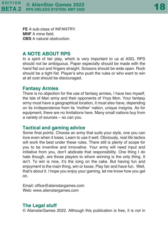**FE** A sub-class of INFANTRY. **MNF** A mine field. **OBS** A natural obstruction.

#### **A NOTE ABOUT RPS**

In a spirit of fair play, which is very important to us at ASG, RPS should not be ambiguous. Paper especially should be made with the hand flat out and fingers straight. Scissors should be wide open. Rock should be a tight fist. Player's who push the rules or who want to win at all cost should be discouraged.

#### **Fantasy Armies**

There is no objection for the use of fantasy armies, I have two myself, the Isle of Man army and their opponents of Ynys Mon. Your fantasy army must have a geographical location, it must also have, depending on its in/dependence from its 'mother' nation, unique insignia. As for equipment, there are no limitations here. Many small nations buy from a variety of sources – so can you.

#### **Tactical and gaming advice**

Some final points. Choose an army that suits your style, one you can love even when it loses. Learn to use it well. Obviously, real life tactics will work the best under these rules. There still is plenty of scope for you to be inventive and innovative. Your army will need input and initiative from you, don't abdicate that responsibility. One thing I do hate though, are those players to whom winning is the only thing. It isn't. To win is nice, it's the icing on the cake. But having fun and enjoyment is the main thing, win or loose. Play fair and have fun. Well, that's about it. I hope you enjoy your gaming, let me know how you get on.

Email: office@alienstargames.com Web: www.alienstargames.com

#### **The Legal stuff**

© AlienstarGames 2022. Although this publication is free, it is not in